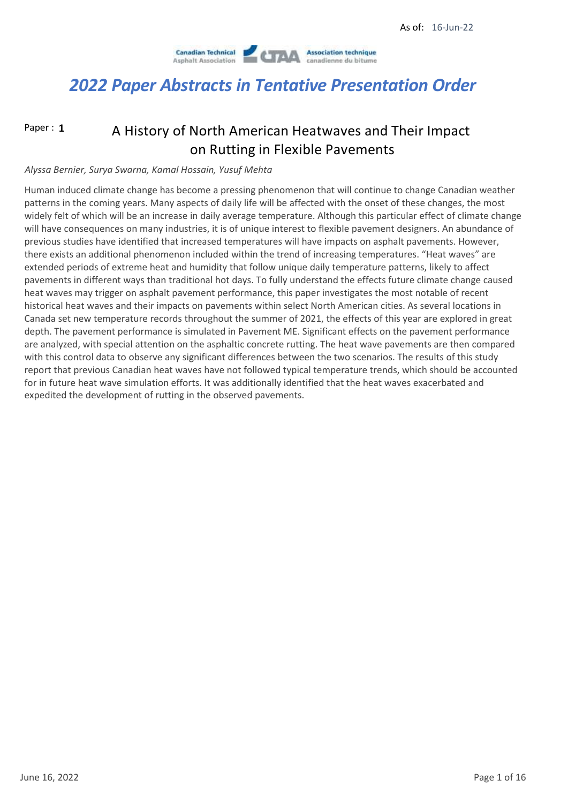

Paper : **1**

### A History of North American Heatwaves and Their Impact on Rutting in Flexible Pavements

#### *Alyssa Bernier, Surya Swarna, Kamal Hossain, Yusuf Mehta*

Human induced climate change has become a pressing phenomenon that will continue to change Canadian weather patterns in the coming years. Many aspects of daily life will be affected with the onset of these changes, the most widely felt of which will be an increase in daily average temperature. Although this particular effect of climate change will have consequences on many industries, it is of unique interest to flexible pavement designers. An abundance of previous studies have identified that increased temperatures will have impacts on asphalt pavements. However, there exists an additional phenomenon included within the trend of increasing temperatures. "Heat waves" are extended periods of extreme heat and humidity that follow unique daily temperature patterns, likely to affect pavements in different ways than traditional hot days. To fully understand the effects future climate change caused heat waves may trigger on asphalt pavement performance, this paper investigates the most notable of recent historical heat waves and their impacts on pavements within select North American cities. As several locations in Canada set new temperature records throughout the summer of 2021, the effects of this year are explored in great depth. The pavement performance is simulated in Pavement ME. Significant effects on the pavement performance are analyzed, with special attention on the asphaltic concrete rutting. The heat wave pavements are then compared with this control data to observe any significant differences between the two scenarios. The results of this study report that previous Canadian heat waves have not followed typical temperature trends, which should be accounted for in future heat wave simulation efforts. It was additionally identified that the heat waves exacerbated and expedited the development of rutting in the observed pavements.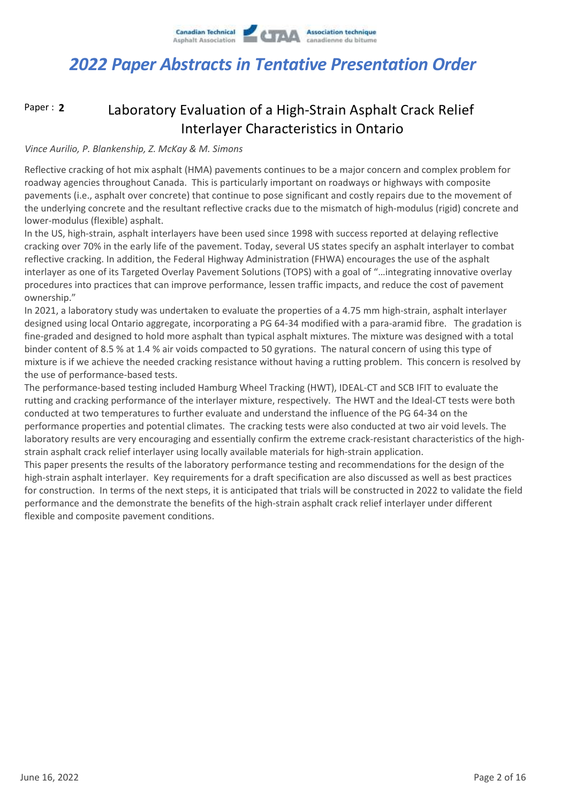

#### Laboratory Evaluation of a High-Strain Asphalt Crack Relief Interlayer Characteristics in Ontario Paper : **2**

#### *Vince Aurilio, P. Blankenship, Z. McKay & M. Simons*

Reflective cracking of hot mix asphalt (HMA) pavements continues to be a major concern and complex problem for roadway agencies throughout Canada. This is particularly important on roadways or highways with composite pavements (i.e., asphalt over concrete) that continue to pose significant and costly repairs due to the movement of the underlying concrete and the resultant reflective cracks due to the mismatch of high-modulus (rigid) concrete and lower-modulus (flexible) asphalt.

In the US, high-strain, asphalt interlayers have been used since 1998 with success reported at delaying reflective cracking over 70% in the early life of the pavement. Today, several US states specify an asphalt interlayer to combat reflective cracking. In addition, the Federal Highway Administration (FHWA) encourages the use of the asphalt interlayer as one of its Targeted Overlay Pavement Solutions (TOPS) with a goal of "…integrating innovative overlay procedures into practices that can improve performance, lessen traffic impacts, and reduce the cost of pavement ownership."

In 2021, a laboratory study was undertaken to evaluate the properties of a 4.75 mm high-strain, asphalt interlayer designed using local Ontario aggregate, incorporating a PG 64-34 modified with a para-aramid fibre. The gradation is fine-graded and designed to hold more asphalt than typical asphalt mixtures. The mixture was designed with a total binder content of 8.5 % at 1.4 % air voids compacted to 50 gyrations. The natural concern of using this type of mixture is if we achieve the needed cracking resistance without having a rutting problem. This concern is resolved by the use of performance-based tests.

The performance-based testing included Hamburg Wheel Tracking (HWT), IDEAL-CT and SCB IFIT to evaluate the rutting and cracking performance of the interlayer mixture, respectively. The HWT and the Ideal-CT tests were both conducted at two temperatures to further evaluate and understand the influence of the PG 64-34 on the performance properties and potential climates. The cracking tests were also conducted at two air void levels. The laboratory results are very encouraging and essentially confirm the extreme crack-resistant characteristics of the highstrain asphalt crack relief interlayer using locally available materials for high-strain application.

This paper presents the results of the laboratory performance testing and recommendations for the design of the high-strain asphalt interlayer. Key requirements for a draft specification are also discussed as well as best practices for construction. In terms of the next steps, it is anticipated that trials will be constructed in 2022 to validate the field performance and the demonstrate the benefits of the high-strain asphalt crack relief interlayer under different flexible and composite pavement conditions.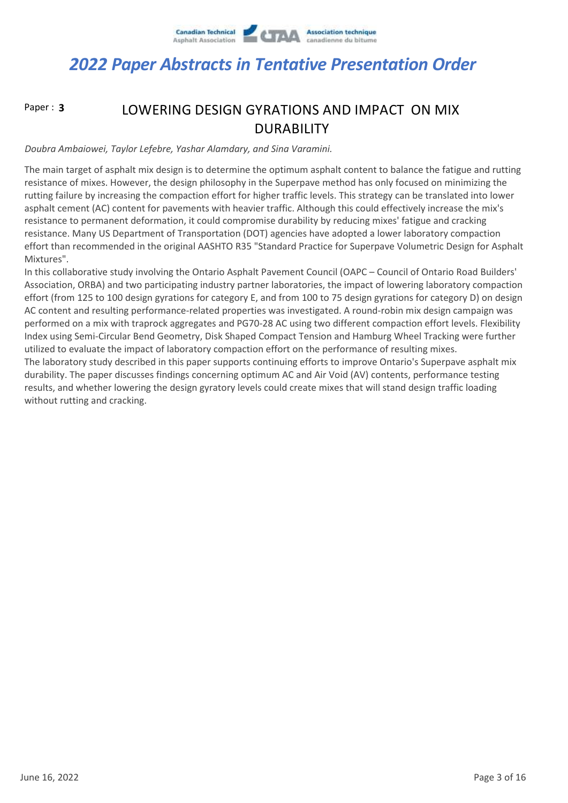

Paper : **3**

### LOWERING DESIGN GYRATIONS AND IMPACT ON MIX DURABILITY

*Doubra Ambaiowei, Taylor Lefebre, Yashar Alamdary, and Sina Varamini.*

The main target of asphalt mix design is to determine the optimum asphalt content to balance the fatigue and rutting resistance of mixes. However, the design philosophy in the Superpave method has only focused on minimizing the rutting failure by increasing the compaction effort for higher traffic levels. This strategy can be translated into lower asphalt cement (AC) content for pavements with heavier traffic. Although this could effectively increase the mix's resistance to permanent deformation, it could compromise durability by reducing mixes' fatigue and cracking resistance. Many US Department of Transportation (DOT) agencies have adopted a lower laboratory compaction effort than recommended in the original AASHTO R35 "Standard Practice for Superpave Volumetric Design for Asphalt Mixtures".

In this collaborative study involving the Ontario Asphalt Pavement Council (OAPC – Council of Ontario Road Builders' Association, ORBA) and two participating industry partner laboratories, the impact of lowering laboratory compaction effort (from 125 to 100 design gyrations for category E, and from 100 to 75 design gyrations for category D) on design AC content and resulting performance-related properties was investigated. A round-robin mix design campaign was performed on a mix with traprock aggregates and PG70-28 AC using two different compaction effort levels. Flexibility Index using Semi-Circular Bend Geometry, Disk Shaped Compact Tension and Hamburg Wheel Tracking were further utilized to evaluate the impact of laboratory compaction effort on the performance of resulting mixes. The laboratory study described in this paper supports continuing efforts to improve Ontario's Superpave asphalt mix durability. The paper discusses findings concerning optimum AC and Air Void (AV) contents, performance testing results, and whether lowering the design gyratory levels could create mixes that will stand design traffic loading without rutting and cracking.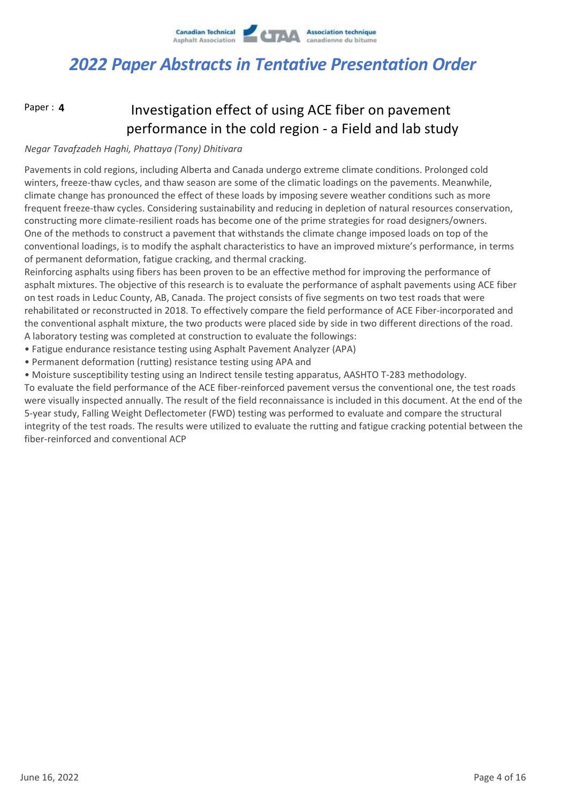

Paper : **4**

### Investigation effect of using ACE fiber on pavement performance in the cold region - a Field and lab study

### *Negar Tavafzadeh Haghi, Phattaya (Tony) Dhitivara*

Pavements in cold regions, including Alberta and Canada undergo extreme climate conditions. Prolonged cold winters, freeze-thaw cycles, and thaw season are some of the climatic loadings on the pavements. Meanwhile, climate change has pronounced the effect of these loads by imposing severe weather conditions such as more frequent freeze-thaw cycles. Considering sustainability and reducing in depletion of natural resources conservation, constructing more climate-resilient roads has become one of the prime strategies for road designers/owners. One of the methods to construct a pavement that withstands the climate change imposed loads on top of the conventional loadings, is to modify the asphalt characteristics to have an improved mixture's performance, in terms of permanent deformation, fatigue cracking, and thermal cracking.

Reinforcing asphalts using fibers has been proven to be an effective method for improving the performance of asphalt mixtures. The objective of this research is to evaluate the performance of asphalt pavements using ACE fiber on test roads in Leduc County, AB, Canada. The project consists of five segments on two test roads that were rehabilitated or reconstructed in 2018. To effectively compare the field performance of ACE Fiber-incorporated and the conventional asphalt mixture, the two products were placed side by side in two different directions of the road. A laboratory testing was completed at construction to evaluate the followings:

- Fatigue endurance resistance testing using Asphalt Pavement Analyzer (APA)
- Permanent deformation (rutting) resistance testing using APA and
- Moisture susceptibility testing using an Indirect tensile testing apparatus, AASHTO T-283 methodology.

To evaluate the field performance of the ACE fiber-reinforced pavement versus the conventional one, the test roads were visually inspected annually. The result of the field reconnaissance is included in this document. At the end of the 5-year study, Falling Weight Deflectometer (FWD) testing was performed to evaluate and compare the structural integrity of the test roads. The results were utilized to evaluate the rutting and fatigue cracking potential between the fiber-reinforced and conventional ACP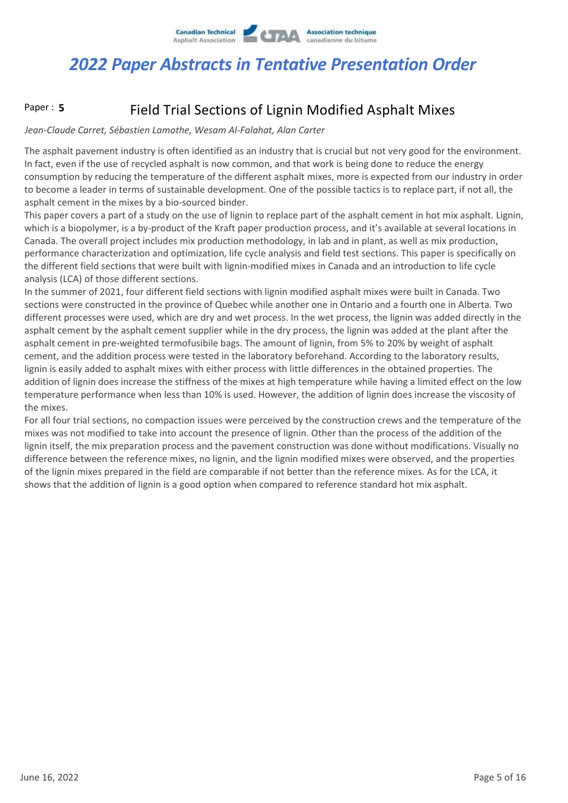

#### Field Trial Sections of Lignin Modified Asphalt Mixes Paper : **5**

#### *Jean-Claude Carret, Sébastien Lamothe, Wesam Al-Falahat, Alan Carter*

The asphalt pavement industry is often identified as an industry that is crucial but not very good for the environment. In fact, even if the use of recycled asphalt is now common, and that work is being done to reduce the energy consumption by reducing the temperature of the different asphalt mixes, more is expected from our industry in order to become a leader in terms of sustainable development. One of the possible tactics is to replace part, if not all, the asphalt cement in the mixes by a bio-sourced binder.

This paper covers a part of a study on the use of lignin to replace part of the asphalt cement in hot mix asphalt. Lignin, which is a biopolymer, is a by-product of the Kraft paper production process, and it's available at several locations in Canada. The overall project includes mix production methodology, in lab and in plant, as well as mix production, performance characterization and optimization, life cycle analysis and field test sections. This paper is specifically on the different field sections that were built with lignin-modified mixes in Canada and an introduction to life cycle analysis (LCA) of those different sections.

In the summer of 2021, four different field sections with lignin modified asphalt mixes were built in Canada. Two sections were constructed in the province of Quebec while another one in Ontario and a fourth one in Alberta. Two different processes were used, which are dry and wet process. In the wet process, the lignin was added directly in the asphalt cement by the asphalt cement supplier while in the dry process, the lignin was added at the plant after the asphalt cement in pre-weighted termofusibile bags. The amount of lignin, from 5% to 20% by weight of asphalt cement, and the addition process were tested in the laboratory beforehand. According to the laboratory results, lignin is easily added to asphalt mixes with either process with little differences in the obtained properties. The addition of lignin does increase the stiffness of the mixes at high temperature while having a limited effect on the low temperature performance when less than 10% is used. However, the addition of lignin does increase the viscosity of the mixes.

For all four trial sections, no compaction issues were perceived by the construction crews and the temperature of the mixes was not modified to take into account the presence of lignin. Other than the process of the addition of the lignin itself, the mix preparation process and the pavement construction was done without modifications. Visually no difference between the reference mixes, no lignin, and the lignin modified mixes were observed, and the properties of the lignin mixes prepared in the field are comparable if not better than the reference mixes. As for the LCA, it shows that the addition of lignin is a good option when compared to reference standard hot mix asphalt.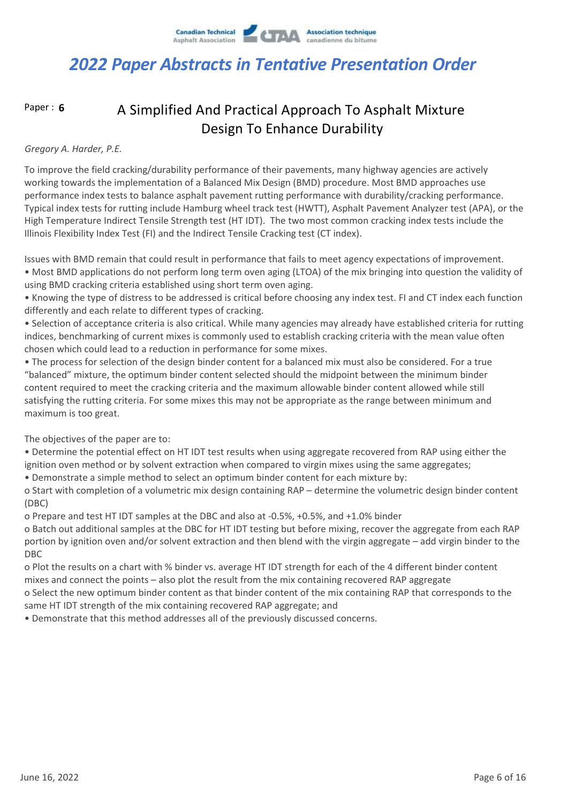

Paper : **6**

### A Simplified And Practical Approach To Asphalt Mixture Design To Enhance Durability

#### *Gregory A. Harder, P.E.*

To improve the field cracking/durability performance of their pavements, many highway agencies are actively working towards the implementation of a Balanced Mix Design (BMD) procedure. Most BMD approaches use performance index tests to balance asphalt pavement rutting performance with durability/cracking performance. Typical index tests for rutting include Hamburg wheel track test (HWTT), Asphalt Pavement Analyzer test (APA), or the High Temperature Indirect Tensile Strength test (HT IDT). The two most common cracking index tests include the Illinois Flexibility Index Test (FI) and the Indirect Tensile Cracking test (CT index).

Issues with BMD remain that could result in performance that fails to meet agency expectations of improvement.

• Most BMD applications do not perform long term oven aging (LTOA) of the mix bringing into question the validity of using BMD cracking criteria established using short term oven aging.

• Knowing the type of distress to be addressed is critical before choosing any index test. FI and CT index each function differently and each relate to different types of cracking.

• Selection of acceptance criteria is also critical. While many agencies may already have established criteria for rutting indices, benchmarking of current mixes is commonly used to establish cracking criteria with the mean value often chosen which could lead to a reduction in performance for some mixes.

• The process for selection of the design binder content for a balanced mix must also be considered. For a true "balanced" mixture, the optimum binder content selected should the midpoint between the minimum binder content required to meet the cracking criteria and the maximum allowable binder content allowed while still satisfying the rutting criteria. For some mixes this may not be appropriate as the range between minimum and maximum is too great.

The objectives of the paper are to:

• Determine the potential effect on HT IDT test results when using aggregate recovered from RAP using either the ignition oven method or by solvent extraction when compared to virgin mixes using the same aggregates;

• Demonstrate a simple method to select an optimum binder content for each mixture by:

o Start with completion of a volumetric mix design containing RAP – determine the volumetric design binder content (DBC)

o Prepare and test HT IDT samples at the DBC and also at -0.5%, +0.5%, and +1.0% binder

o Batch out additional samples at the DBC for HT IDT testing but before mixing, recover the aggregate from each RAP portion by ignition oven and/or solvent extraction and then blend with the virgin aggregate – add virgin binder to the DBC

o Plot the results on a chart with % binder vs. average HT IDT strength for each of the 4 different binder content mixes and connect the points – also plot the result from the mix containing recovered RAP aggregate

o Select the new optimum binder content as that binder content of the mix containing RAP that corresponds to the same HT IDT strength of the mix containing recovered RAP aggregate; and

• Demonstrate that this method addresses all of the previously discussed concerns.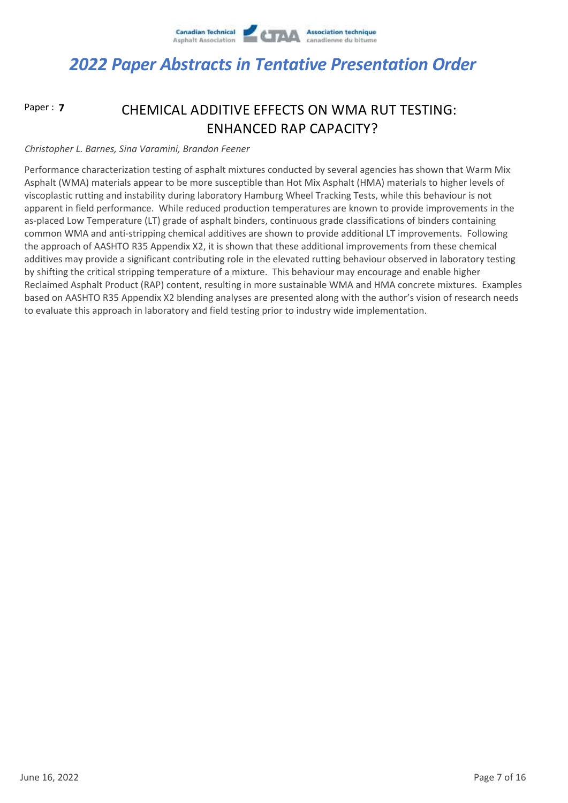

Paper : **7**

### CHEMICAL ADDITIVE EFFECTS ON WMA RUT TESTING: ENHANCED RAP CAPACITY?

#### *Christopher L. Barnes, Sina Varamini, Brandon Feener*

Performance characterization testing of asphalt mixtures conducted by several agencies has shown that Warm Mix Asphalt (WMA) materials appear to be more susceptible than Hot Mix Asphalt (HMA) materials to higher levels of viscoplastic rutting and instability during laboratory Hamburg Wheel Tracking Tests, while this behaviour is not apparent in field performance. While reduced production temperatures are known to provide improvements in the as-placed Low Temperature (LT) grade of asphalt binders, continuous grade classifications of binders containing common WMA and anti-stripping chemical additives are shown to provide additional LT improvements. Following the approach of AASHTO R35 Appendix X2, it is shown that these additional improvements from these chemical additives may provide a significant contributing role in the elevated rutting behaviour observed in laboratory testing by shifting the critical stripping temperature of a mixture. This behaviour may encourage and enable higher Reclaimed Asphalt Product (RAP) content, resulting in more sustainable WMA and HMA concrete mixtures. Examples based on AASHTO R35 Appendix X2 blending analyses are presented along with the author's vision of research needs to evaluate this approach in laboratory and field testing prior to industry wide implementation.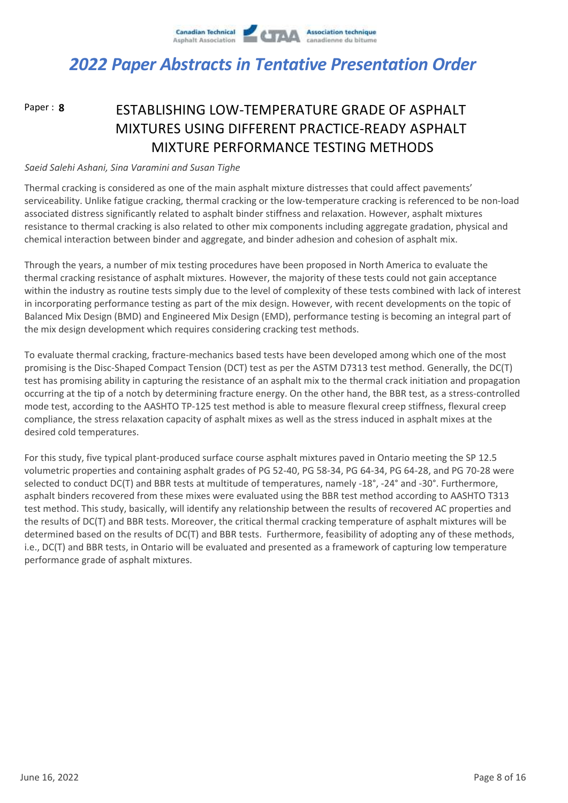

Paper : **8**

### ESTABLISHING LOW-TEMPERATURE GRADE OF ASPHALT MIXTURES USING DIFFERENT PRACTICE-READY ASPHALT MIXTURE PERFORMANCE TESTING METHODS

#### *Saeid Salehi Ashani, Sina Varamini and Susan Tighe*

Thermal cracking is considered as one of the main asphalt mixture distresses that could affect pavements' serviceability. Unlike fatigue cracking, thermal cracking or the low-temperature cracking is referenced to be non-load associated distress significantly related to asphalt binder stiffness and relaxation. However, asphalt mixtures resistance to thermal cracking is also related to other mix components including aggregate gradation, physical and chemical interaction between binder and aggregate, and binder adhesion and cohesion of asphalt mix.

Through the years, a number of mix testing procedures have been proposed in North America to evaluate the thermal cracking resistance of asphalt mixtures. However, the majority of these tests could not gain acceptance within the industry as routine tests simply due to the level of complexity of these tests combined with lack of interest in incorporating performance testing as part of the mix design. However, with recent developments on the topic of Balanced Mix Design (BMD) and Engineered Mix Design (EMD), performance testing is becoming an integral part of the mix design development which requires considering cracking test methods.

To evaluate thermal cracking, fracture-mechanics based tests have been developed among which one of the most promising is the Disc-Shaped Compact Tension (DCT) test as per the ASTM D7313 test method. Generally, the DC(T) test has promising ability in capturing the resistance of an asphalt mix to the thermal crack initiation and propagation occurring at the tip of a notch by determining fracture energy. On the other hand, the BBR test, as a stress-controlled mode test, according to the AASHTO TP-125 test method is able to measure flexural creep stiffness, flexural creep compliance, the stress relaxation capacity of asphalt mixes as well as the stress induced in asphalt mixes at the desired cold temperatures.

For this study, five typical plant-produced surface course asphalt mixtures paved in Ontario meeting the SP 12.5 volumetric properties and containing asphalt grades of PG 52-40, PG 58-34, PG 64-34, PG 64-28, and PG 70-28 were selected to conduct DC(T) and BBR tests at multitude of temperatures, namely -18°, -24° and -30°. Furthermore, asphalt binders recovered from these mixes were evaluated using the BBR test method according to AASHTO T313 test method. This study, basically, will identify any relationship between the results of recovered AC properties and the results of DC(T) and BBR tests. Moreover, the critical thermal cracking temperature of asphalt mixtures will be determined based on the results of DC(T) and BBR tests. Furthermore, feasibility of adopting any of these methods, i.e., DC(T) and BBR tests, in Ontario will be evaluated and presented as a framework of capturing low temperature performance grade of asphalt mixtures.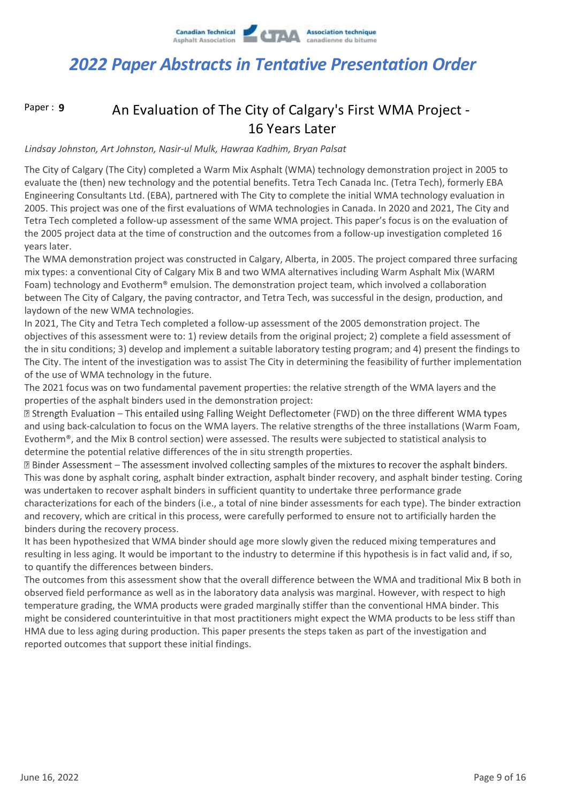

Paper : **9**

### An Evaluation of The City of Calgary's First WMA Project - 16 Years Later

#### *Lindsay Johnston, Art Johnston, Nasir-ul Mulk, Hawraa Kadhim, Bryan Palsat*

The City of Calgary (The City) completed a Warm Mix Asphalt (WMA) technology demonstration project in 2005 to evaluate the (then) new technology and the potential benefits. Tetra Tech Canada Inc. (Tetra Tech), formerly EBA Engineering Consultants Ltd. (EBA), partnered with The City to complete the initial WMA technology evaluation in 2005. This project was one of the first evaluations of WMA technologies in Canada. In 2020 and 2021, The City and Tetra Tech completed a follow-up assessment of the same WMA project. This paper's focus is on the evaluation of the 2005 project data at the time of construction and the outcomes from a follow-up investigation completed 16 years later.

The WMA demonstration project was constructed in Calgary, Alberta, in 2005. The project compared three surfacing mix types: a conventional City of Calgary Mix B and two WMA alternatives including Warm Asphalt Mix (WARM Foam) technology and Evotherm® emulsion. The demonstration project team, which involved a collaboration between The City of Calgary, the paving contractor, and Tetra Tech, was successful in the design, production, and laydown of the new WMA technologies.

In 2021, The City and Tetra Tech completed a follow-up assessment of the 2005 demonstration project. The objectives of this assessment were to: 1) review details from the original project; 2) complete a field assessment of the in situ conditions; 3) develop and implement a suitable laboratory testing program; and 4) present the findings to The City. The intent of the investigation was to assist The City in determining the feasibility of further implementation of the use of WMA technology in the future.

The 2021 focus was on two fundamental pavement properties: the relative strength of the WMA layers and the properties of the asphalt binders used in the demonstration project:

**Z Strength Evaluation – This entailed using Falling Weight Deflectometer (FWD) on the three different WMA types** and using back-calculation to focus on the WMA layers. The relative strengths of the three installations (Warm Foam, Evotherm®, and the Mix B control section) were assessed. The results were subjected to statistical analysis to determine the potential relative differences of the in situ strength properties.

⊠ Binder Assessment – The assessment involved collecting samples of the mixtures to recover the asphalt binders. This was done by asphalt coring, asphalt binder extraction, asphalt binder recovery, and asphalt binder testing. Coring was undertaken to recover asphalt binders in sufficient quantity to undertake three performance grade characterizations for each of the binders (i.e., a total of nine binder assessments for each type). The binder extraction and recovery, which are critical in this process, were carefully performed to ensure not to artificially harden the binders during the recovery process.

It has been hypothesized that WMA binder should age more slowly given the reduced mixing temperatures and resulting in less aging. It would be important to the industry to determine if this hypothesis is in fact valid and, if so, to quantify the differences between binders.

The outcomes from this assessment show that the overall difference between the WMA and traditional Mix B both in observed field performance as well as in the laboratory data analysis was marginal. However, with respect to high temperature grading, the WMA products were graded marginally stiffer than the conventional HMA binder. This might be considered counterintuitive in that most practitioners might expect the WMA products to be less stiff than HMA due to less aging during production. This paper presents the steps taken as part of the investigation and reported outcomes that support these initial findings.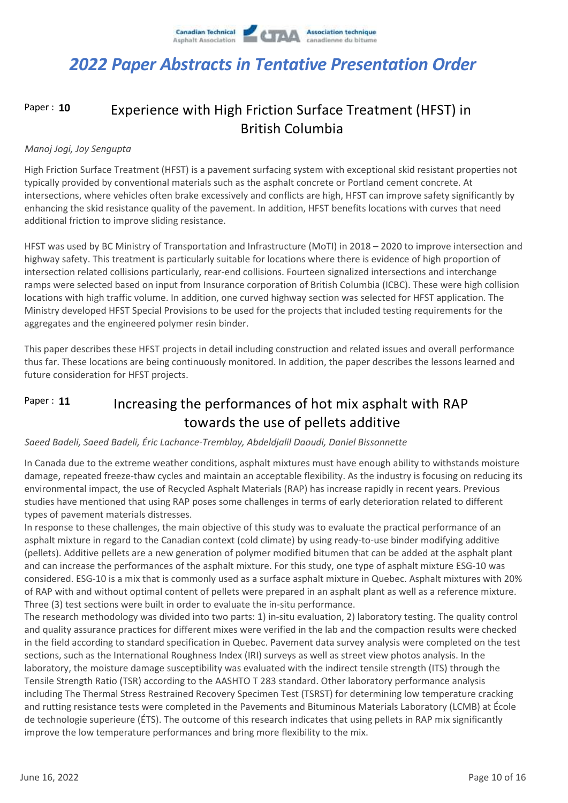#### Experience with High Friction Surface Treatment (HFST) in British Columbia Paper : **10**

#### *Manoj Jogi, Joy Sengupta*

High Friction Surface Treatment (HFST) is a pavement surfacing system with exceptional skid resistant properties not typically provided by conventional materials such as the asphalt concrete or Portland cement concrete. At intersections, where vehicles often brake excessively and conflicts are high, HFST can improve safety significantly by enhancing the skid resistance quality of the pavement. In addition, HFST benefits locations with curves that need additional friction to improve sliding resistance.

HFST was used by BC Ministry of Transportation and Infrastructure (MoTI) in 2018 – 2020 to improve intersection and highway safety. This treatment is particularly suitable for locations where there is evidence of high proportion of intersection related collisions particularly, rear-end collisions. Fourteen signalized intersections and interchange ramps were selected based on input from Insurance corporation of British Columbia (ICBC). These were high collision locations with high traffic volume. In addition, one curved highway section was selected for HFST application. The Ministry developed HFST Special Provisions to be used for the projects that included testing requirements for the aggregates and the engineered polymer resin binder.

This paper describes these HFST projects in detail including construction and related issues and overall performance thus far. These locations are being continuously monitored. In addition, the paper describes the lessons learned and future consideration for HFST projects.

#### Increasing the performances of hot mix asphalt with RAP towards the use of pellets additive Paper : **11**

#### *Saeed Badeli, Saeed Badeli, Éric Lachance-Tremblay, Abdeldjalil Daoudi, Daniel Bissonnette*

In Canada due to the extreme weather conditions, asphalt mixtures must have enough ability to withstands moisture damage, repeated freeze-thaw cycles and maintain an acceptable flexibility. As the industry is focusing on reducing its environmental impact, the use of Recycled Asphalt Materials (RAP) has increase rapidly in recent years. Previous studies have mentioned that using RAP poses some challenges in terms of early deterioration related to different types of pavement materials distresses.

In response to these challenges, the main objective of this study was to evaluate the practical performance of an asphalt mixture in regard to the Canadian context (cold climate) by using ready-to-use binder modifying additive (pellets). Additive pellets are a new generation of polymer modified bitumen that can be added at the asphalt plant and can increase the performances of the asphalt mixture. For this study, one type of asphalt mixture ESG-10 was considered. ESG-10 is a mix that is commonly used as a surface asphalt mixture in Quebec. Asphalt mixtures with 20% of RAP with and without optimal content of pellets were prepared in an asphalt plant as well as a reference mixture. Three (3) test sections were built in order to evaluate the in-situ performance.

The research methodology was divided into two parts: 1) in-situ evaluation, 2) laboratory testing. The quality control and quality assurance practices for different mixes were verified in the lab and the compaction results were checked in the field according to standard specification in Quebec. Pavement data survey analysis were completed on the test sections, such as the International Roughness Index (IRI) surveys as well as street view photos analysis. In the laboratory, the moisture damage susceptibility was evaluated with the indirect tensile strength (ITS) through the Tensile Strength Ratio (TSR) according to the AASHTO T 283 standard. Other laboratory performance analysis including The Thermal Stress Restrained Recovery Specimen Test (TSRST) for determining low temperature cracking and rutting resistance tests were completed in the Pavements and Bituminous Materials Laboratory (LCMB) at École de technologie superieure (ÉTS). The outcome of this research indicates that using pellets in RAP mix significantly improve the low temperature performances and bring more flexibility to the mix.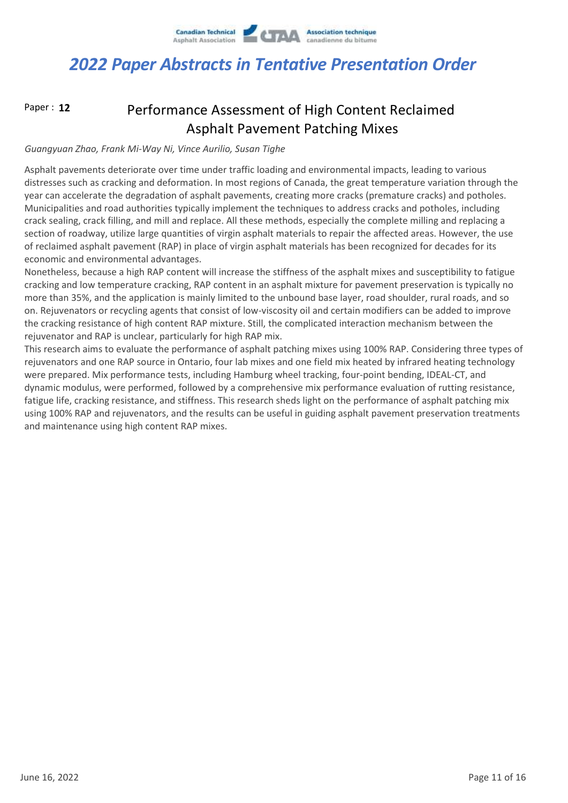

Paper : **12**

### Performance Assessment of High Content Reclaimed Asphalt Pavement Patching Mixes

#### *Guangyuan Zhao, Frank Mi-Way Ni, Vince Aurilio, Susan Tighe*

Asphalt pavements deteriorate over time under traffic loading and environmental impacts, leading to various distresses such as cracking and deformation. In most regions of Canada, the great temperature variation through the year can accelerate the degradation of asphalt pavements, creating more cracks (premature cracks) and potholes. Municipalities and road authorities typically implement the techniques to address cracks and potholes, including crack sealing, crack filling, and mill and replace. All these methods, especially the complete milling and replacing a section of roadway, utilize large quantities of virgin asphalt materials to repair the affected areas. However, the use of reclaimed asphalt pavement (RAP) in place of virgin asphalt materials has been recognized for decades for its economic and environmental advantages.

Nonetheless, because a high RAP content will increase the stiffness of the asphalt mixes and susceptibility to fatigue cracking and low temperature cracking, RAP content in an asphalt mixture for pavement preservation is typically no more than 35%, and the application is mainly limited to the unbound base layer, road shoulder, rural roads, and so on. Rejuvenators or recycling agents that consist of low-viscosity oil and certain modifiers can be added to improve the cracking resistance of high content RAP mixture. Still, the complicated interaction mechanism between the rejuvenator and RAP is unclear, particularly for high RAP mix.

This research aims to evaluate the performance of asphalt patching mixes using 100% RAP. Considering three types of rejuvenators and one RAP source in Ontario, four lab mixes and one field mix heated by infrared heating technology were prepared. Mix performance tests, including Hamburg wheel tracking, four-point bending, IDEAL-CT, and dynamic modulus, were performed, followed by a comprehensive mix performance evaluation of rutting resistance, fatigue life, cracking resistance, and stiffness. This research sheds light on the performance of asphalt patching mix using 100% RAP and rejuvenators, and the results can be useful in guiding asphalt pavement preservation treatments and maintenance using high content RAP mixes.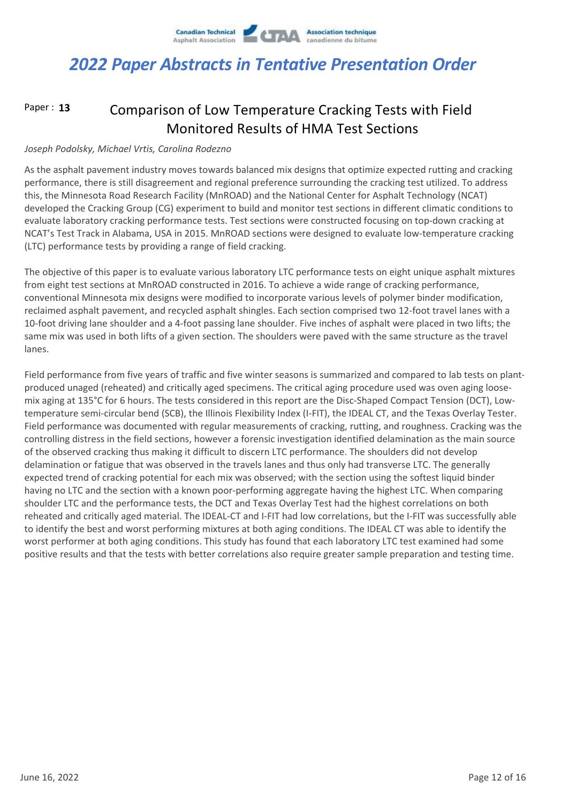

#### Comparison of Low Temperature Cracking Tests with Field Monitored Results of HMA Test Sections Paper : **13**

#### *Joseph Podolsky, Michael Vrtis, Carolina Rodezno*

As the asphalt pavement industry moves towards balanced mix designs that optimize expected rutting and cracking performance, there is still disagreement and regional preference surrounding the cracking test utilized. To address this, the Minnesota Road Research Facility (MnROAD) and the National Center for Asphalt Technology (NCAT) developed the Cracking Group (CG) experiment to build and monitor test sections in different climatic conditions to evaluate laboratory cracking performance tests. Test sections were constructed focusing on top-down cracking at NCAT's Test Track in Alabama, USA in 2015. MnROAD sections were designed to evaluate low-temperature cracking (LTC) performance tests by providing a range of field cracking.

The objective of this paper is to evaluate various laboratory LTC performance tests on eight unique asphalt mixtures from eight test sections at MnROAD constructed in 2016. To achieve a wide range of cracking performance, conventional Minnesota mix designs were modified to incorporate various levels of polymer binder modification, reclaimed asphalt pavement, and recycled asphalt shingles. Each section comprised two 12-foot travel lanes with a 10-foot driving lane shoulder and a 4-foot passing lane shoulder. Five inches of asphalt were placed in two lifts; the same mix was used in both lifts of a given section. The shoulders were paved with the same structure as the travel lanes.

Field performance from five years of traffic and five winter seasons is summarized and compared to lab tests on plantproduced unaged (reheated) and critically aged specimens. The critical aging procedure used was oven aging loosemix aging at 135°C for 6 hours. The tests considered in this report are the Disc-Shaped Compact Tension (DCT), Lowtemperature semi-circular bend (SCB), the Illinois Flexibility Index (I-FIT), the IDEAL CT, and the Texas Overlay Tester. Field performance was documented with regular measurements of cracking, rutting, and roughness. Cracking was the controlling distress in the field sections, however a forensic investigation identified delamination as the main source of the observed cracking thus making it difficult to discern LTC performance. The shoulders did not develop delamination or fatigue that was observed in the travels lanes and thus only had transverse LTC. The generally expected trend of cracking potential for each mix was observed; with the section using the softest liquid binder having no LTC and the section with a known poor-performing aggregate having the highest LTC. When comparing shoulder LTC and the performance tests, the DCT and Texas Overlay Test had the highest correlations on both reheated and critically aged material. The IDEAL-CT and I-FIT had low correlations, but the I-FIT was successfully able to identify the best and worst performing mixtures at both aging conditions. The IDEAL CT was able to identify the worst performer at both aging conditions. This study has found that each laboratory LTC test examined had some positive results and that the tests with better correlations also require greater sample preparation and testing time.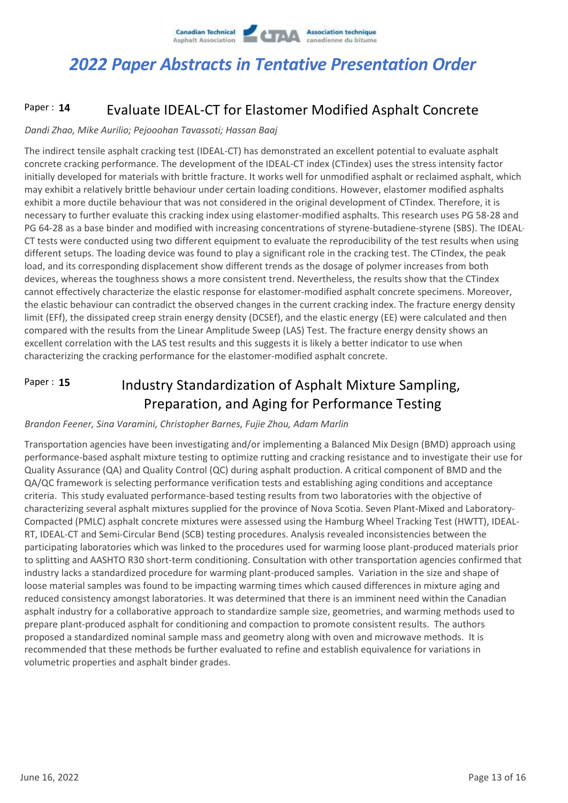

#### Evaluate IDEAL-CT for Elastomer Modified Asphalt Concrete Paper : **14**

#### *Dandi Zhao, Mike Aurilio; Pejooohan Tavassoti; Hassan Baaj*

The indirect tensile asphalt cracking test (IDEAL-CT) has demonstrated an excellent potential to evaluate asphalt concrete cracking performance. The development of the IDEAL-CT index (CTindex) uses the stress intensity factor initially developed for materials with brittle fracture. It works well for unmodified asphalt or reclaimed asphalt, which may exhibit a relatively brittle behaviour under certain loading conditions. However, elastomer modified asphalts exhibit a more ductile behaviour that was not considered in the original development of CTindex. Therefore, it is necessary to further evaluate this cracking index using elastomer-modified asphalts. This research uses PG 58-28 and PG 64-28 as a base binder and modified with increasing concentrations of styrene-butadiene-styrene (SBS). The IDEAL-CT tests were conducted using two different equipment to evaluate the reproducibility of the test results when using different setups. The loading device was found to play a significant role in the cracking test. The CTindex, the peak load, and its corresponding displacement show different trends as the dosage of polymer increases from both devices, whereas the toughness shows a more consistent trend. Nevertheless, the results show that the CTindex cannot effectively characterize the elastic response for elastomer-modified asphalt concrete specimens. Moreover, the elastic behaviour can contradict the observed changes in the current cracking index. The fracture energy density limit (EFf), the dissipated creep strain energy density (DCSEf), and the elastic energy (EE) were calculated and then compared with the results from the Linear Amplitude Sweep (LAS) Test. The fracture energy density shows an excellent correlation with the LAS test results and this suggests it is likely a better indicator to use when characterizing the cracking performance for the elastomer-modified asphalt concrete.

#### Industry Standardization of Asphalt Mixture Sampling, Preparation, and Aging for Performance Testing Paper : **15**

#### *Brandon Feener, Sina Varamini, Christopher Barnes, Fujie Zhou, Adam Marlin*

Transportation agencies have been investigating and/or implementing a Balanced Mix Design (BMD) approach using performance-based asphalt mixture testing to optimize rutting and cracking resistance and to investigate their use for Quality Assurance (QA) and Quality Control (QC) during asphalt production. A critical component of BMD and the QA/QC framework is selecting performance verification tests and establishing aging conditions and acceptance criteria. This study evaluated performance-based testing results from two laboratories with the objective of characterizing several asphalt mixtures supplied for the province of Nova Scotia. Seven Plant-Mixed and Laboratory-Compacted (PMLC) asphalt concrete mixtures were assessed using the Hamburg Wheel Tracking Test (HWTT), IDEAL-RT, IDEAL-CT and Semi-Circular Bend (SCB) testing procedures. Analysis revealed inconsistencies between the participating laboratories which was linked to the procedures used for warming loose plant-produced materials prior to splitting and AASHTO R30 short-term conditioning. Consultation with other transportation agencies confirmed that industry lacks a standardized procedure for warming plant-produced samples. Variation in the size and shape of loose material samples was found to be impacting warming times which caused differences in mixture aging and reduced consistency amongst laboratories. It was determined that there is an imminent need within the Canadian asphalt industry for a collaborative approach to standardize sample size, geometries, and warming methods used to prepare plant-produced asphalt for conditioning and compaction to promote consistent results. The authors proposed a standardized nominal sample mass and geometry along with oven and microwave methods. It is recommended that these methods be further evaluated to refine and establish equivalence for variations in volumetric properties and asphalt binder grades.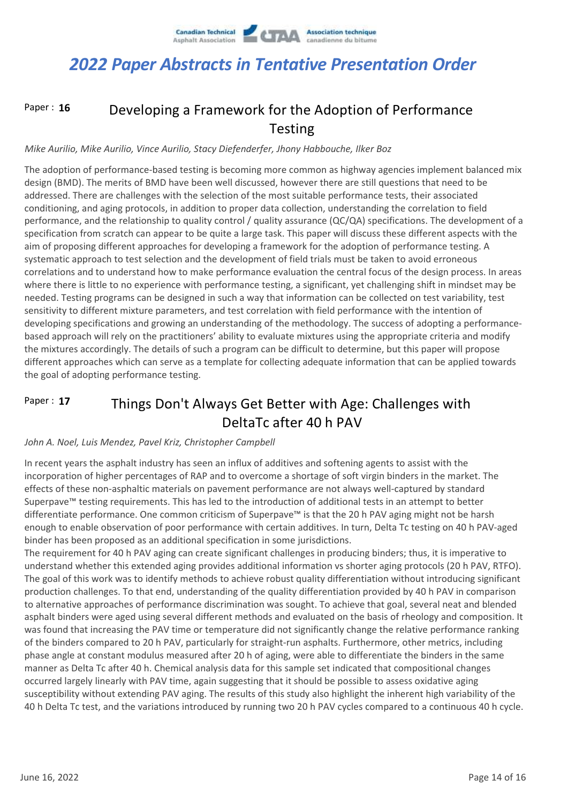

#### Developing a Framework for the Adoption of Performance Testing Paper : **16**

#### *Mike Aurilio, Mike Aurilio, Vince Aurilio, Stacy Diefenderfer, Jhony Habbouche, Ilker Boz*

The adoption of performance-based testing is becoming more common as highway agencies implement balanced mix design (BMD). The merits of BMD have been well discussed, however there are still questions that need to be addressed. There are challenges with the selection of the most suitable performance tests, their associated conditioning, and aging protocols, in addition to proper data collection, understanding the correlation to field performance, and the relationship to quality control / quality assurance (QC/QA) specifications. The development of a specification from scratch can appear to be quite a large task. This paper will discuss these different aspects with the aim of proposing different approaches for developing a framework for the adoption of performance testing. A systematic approach to test selection and the development of field trials must be taken to avoid erroneous correlations and to understand how to make performance evaluation the central focus of the design process. In areas where there is little to no experience with performance testing, a significant, yet challenging shift in mindset may be needed. Testing programs can be designed in such a way that information can be collected on test variability, test sensitivity to different mixture parameters, and test correlation with field performance with the intention of developing specifications and growing an understanding of the methodology. The success of adopting a performancebased approach will rely on the practitioners' ability to evaluate mixtures using the appropriate criteria and modify the mixtures accordingly. The details of such a program can be difficult to determine, but this paper will propose different approaches which can serve as a template for collecting adequate information that can be applied towards the goal of adopting performance testing.

#### Things Don't Always Get Better with Age: Challenges with DeltaTc after 40 h PAV Paper : **17**

#### *John A. Noel, Luis Mendez, Pavel Kriz, Christopher Campbell*

In recent years the asphalt industry has seen an influx of additives and softening agents to assist with the incorporation of higher percentages of RAP and to overcome a shortage of soft virgin binders in the market. The effects of these non-asphaltic materials on pavement performance are not always well-captured by standard Superpave™ testing requirements. This has led to the introduction of additional tests in an attempt to better differentiate performance. One common criticism of Superpave™ is that the 20 h PAV aging might not be harsh enough to enable observation of poor performance with certain additives. In turn, Delta Tc testing on 40 h PAV-aged binder has been proposed as an additional specification in some jurisdictions.

The requirement for 40 h PAV aging can create significant challenges in producing binders; thus, it is imperative to understand whether this extended aging provides additional information vs shorter aging protocols (20 h PAV, RTFO). The goal of this work was to identify methods to achieve robust quality differentiation without introducing significant production challenges. To that end, understanding of the quality differentiation provided by 40 h PAV in comparison to alternative approaches of performance discrimination was sought. To achieve that goal, several neat and blended asphalt binders were aged using several different methods and evaluated on the basis of rheology and composition. It was found that increasing the PAV time or temperature did not significantly change the relative performance ranking of the binders compared to 20 h PAV, particularly for straight-run asphalts. Furthermore, other metrics, including phase angle at constant modulus measured after 20 h of aging, were able to differentiate the binders in the same manner as Delta Tc after 40 h. Chemical analysis data for this sample set indicated that compositional changes occurred largely linearly with PAV time, again suggesting that it should be possible to assess oxidative aging susceptibility without extending PAV aging. The results of this study also highlight the inherent high variability of the 40 h Delta Tc test, and the variations introduced by running two 20 h PAV cycles compared to a continuous 40 h cycle.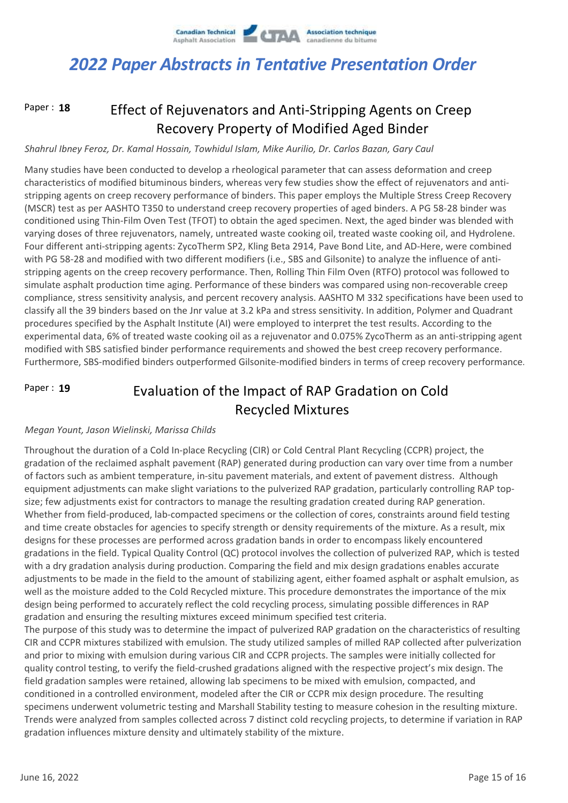

Paper : **18**

### Effect of Rejuvenators and Anti-Stripping Agents on Creep Recovery Property of Modified Aged Binder

### *Shahrul Ibney Feroz, Dr. Kamal Hossain, Towhidul Islam, Mike Aurilio, Dr. Carlos Bazan, Gary Caul*

Many studies have been conducted to develop a rheological parameter that can assess deformation and creep characteristics of modified bituminous binders, whereas very few studies show the effect of rejuvenators and antistripping agents on creep recovery performance of binders. This paper employs the Multiple Stress Creep Recovery (MSCR) test as per AASHTO T350 to understand creep recovery properties of aged binders. A PG 58-28 binder was conditioned using Thin-Film Oven Test (TFOT) to obtain the aged specimen. Next, the aged binder was blended with varying doses of three rejuvenators, namely, untreated waste cooking oil, treated waste cooking oil, and Hydrolene. Four different anti-stripping agents: ZycoTherm SP2, Kling Beta 2914, Pave Bond Lite, and AD-Here, were combined with PG 58-28 and modified with two different modifiers (i.e., SBS and Gilsonite) to analyze the influence of antistripping agents on the creep recovery performance. Then, Rolling Thin Film Oven (RTFO) protocol was followed to simulate asphalt production time aging. Performance of these binders was compared using non-recoverable creep compliance, stress sensitivity analysis, and percent recovery analysis. AASHTO M 332 specifications have been used to classify all the 39 binders based on the Jnr value at 3.2 kPa and stress sensitivity. In addition, Polymer and Quadrant procedures specified by the Asphalt Institute (AI) were employed to interpret the test results. According to the experimental data, 6% of treated waste cooking oil as a rejuvenator and 0.075% ZycoTherm as an anti-stripping agent modified with SBS satisfied binder performance requirements and showed the best creep recovery performance. Furthermore, SBS-modified binders outperformed Gilsonite-modified binders in terms of creep recovery performance.

#### Evaluation of the Impact of RAP Gradation on Cold Recycled Mixtures Paper : **19**

#### *Megan Yount, Jason Wielinski, Marissa Childs*

Throughout the duration of a Cold In-place Recycling (CIR) or Cold Central Plant Recycling (CCPR) project, the gradation of the reclaimed asphalt pavement (RAP) generated during production can vary over time from a number of factors such as ambient temperature, in-situ pavement materials, and extent of pavement distress. Although equipment adjustments can make slight variations to the pulverized RAP gradation, particularly controlling RAP topsize; few adjustments exist for contractors to manage the resulting gradation created during RAP generation. Whether from field-produced, lab-compacted specimens or the collection of cores, constraints around field testing and time create obstacles for agencies to specify strength or density requirements of the mixture. As a result, mix designs for these processes are performed across gradation bands in order to encompass likely encountered gradations in the field. Typical Quality Control (QC) protocol involves the collection of pulverized RAP, which is tested with a dry gradation analysis during production. Comparing the field and mix design gradations enables accurate adjustments to be made in the field to the amount of stabilizing agent, either foamed asphalt or asphalt emulsion, as well as the moisture added to the Cold Recycled mixture. This procedure demonstrates the importance of the mix design being performed to accurately reflect the cold recycling process, simulating possible differences in RAP gradation and ensuring the resulting mixtures exceed minimum specified test criteria.

The purpose of this study was to determine the impact of pulverized RAP gradation on the characteristics of resulting CIR and CCPR mixtures stabilized with emulsion. The study utilized samples of milled RAP collected after pulverization and prior to mixing with emulsion during various CIR and CCPR projects. The samples were initially collected for quality control testing, to verify the field-crushed gradations aligned with the respective project's mix design. The field gradation samples were retained, allowing lab specimens to be mixed with emulsion, compacted, and conditioned in a controlled environment, modeled after the CIR or CCPR mix design procedure. The resulting specimens underwent volumetric testing and Marshall Stability testing to measure cohesion in the resulting mixture. Trends were analyzed from samples collected across 7 distinct cold recycling projects, to determine if variation in RAP gradation influences mixture density and ultimately stability of the mixture.